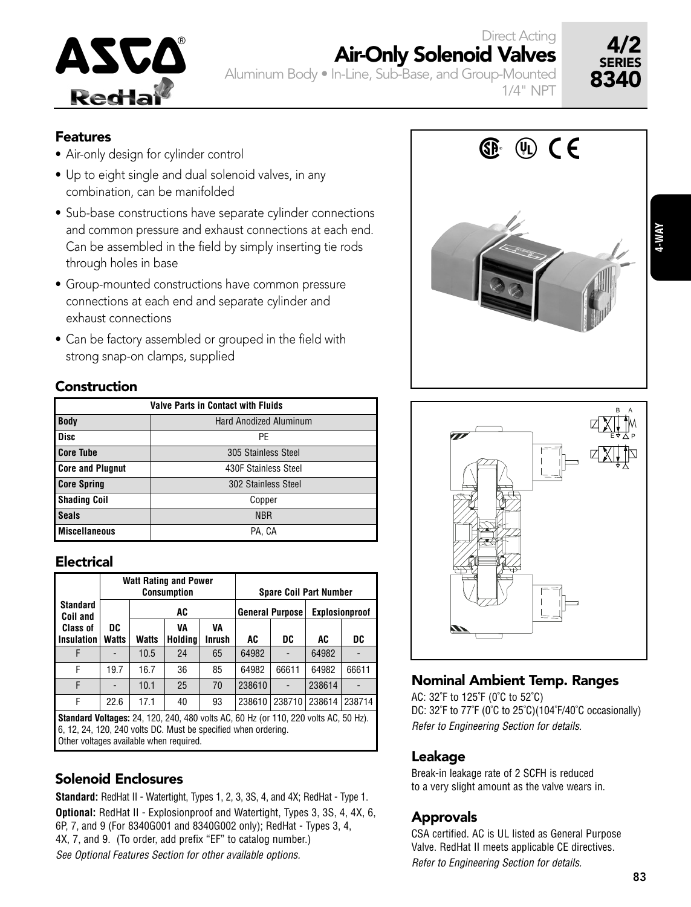

Direct Acting

Aluminum Body • In-Line, Sub-Base, and Group-Mounted 1/4" NPT



- Features<br>• Air-only design for cylinder control<br>• Air-only design for cylinder control
- Up to eight single and dual solenoid valves, in any combination, can be manifolded
- Sub-base constructions have separate cylinder connections and common pressure and exhaust connections at each end. Can be assembled in the field by simply inserting tie rods through holes in base
- Group-mounted constructions have common pressure connections at each end and separate cylinder and exhaust connections
- Can be factory assembled or grouped in the field with strong snap-on clamps, supplied

### Construction

| <b>Valve Parts in Contact with Fluids</b> |                               |  |  |  |  |
|-------------------------------------------|-------------------------------|--|--|--|--|
| <b>Body</b>                               | <b>Hard Anodized Aluminum</b> |  |  |  |  |
| <b>Disc</b>                               | PF                            |  |  |  |  |
| <b>Core Tube</b>                          | 305 Stainless Steel           |  |  |  |  |
| <b>Core and Plugnut</b>                   | 430F Stainless Steel          |  |  |  |  |
| <b>Core Spring</b>                        | 302 Stainless Steel           |  |  |  |  |
| <b>Shading Coil</b>                       | Copper                        |  |  |  |  |
| <b>Seals</b>                              | <b>NBR</b>                    |  |  |  |  |
| <b>Miscellaneous</b>                      | PA, CA                        |  |  |  |  |

## Electrical

|                                                                                                                                                              |                    |       | <b>Watt Rating and Power</b><br><b>Consumption</b> |                     | <b>Spare Coil Part Number</b> |                        |                       |        |  |
|--------------------------------------------------------------------------------------------------------------------------------------------------------------|--------------------|-------|----------------------------------------------------|---------------------|-------------------------------|------------------------|-----------------------|--------|--|
| <b>Standard</b><br>Coil and                                                                                                                                  |                    | AC    |                                                    |                     |                               | <b>General Purpose</b> | <b>Explosionproof</b> |        |  |
| Class of<br><b>Insulation</b>                                                                                                                                | DC<br><b>Watts</b> | Watts | VA<br>Holdina                                      | VA<br><b>Inrush</b> | AC                            | DC                     | AC                    | DC     |  |
| F                                                                                                                                                            |                    | 10.5  | 24                                                 | 65                  | 64982                         |                        | 64982                 |        |  |
| F                                                                                                                                                            | 19.7               | 16.7  | 36                                                 | 85                  | 64982                         | 66611                  | 64982                 | 66611  |  |
| F                                                                                                                                                            |                    | 10.1  | 25                                                 | 70                  | 238610                        |                        | 238614                |        |  |
| F                                                                                                                                                            | 22.6               | 17.1  | 40                                                 | 93                  | 238610                        | 238710                 | 238614                | 238714 |  |
| <b>Standard Voltages:</b> 24, 120, 240, 480 volts AC, 60 Hz (or 110, 220 volts AC, 50 Hz).<br>6, 12, 24, 120, 240 volts DC. Must be specified when ordering. |                    |       |                                                    |                     |                               |                        |                       |        |  |

Other voltages available when required.

# Solenoid Enclosures

**Standard:** RedHat II - Watertight, Types 1, 2, 3, 3S, 4, and 4X; RedHat - Type 1. **Optional:** RedHat II - Explosionproof and Watertight, Types 3, 3S, 4, 4X, 6, 6P, 7, and 9 (For 8340G001 and 8340G002 only); RedHat - Types 3, 4, 4X, 7, and 9. (To order, add prefix "EF" to catalog number.) See Optional Features Section for other available options.





# Nominal Ambient Temp. Ranges

AC: 32˚F to 125˚F (0˚C to 52˚C) DC: 32°F to 77°F (0°C to 25°C)(104°F/40°C occasionally) Refer to Engineering Section for details.

### Leakage

Break-in leakage rate of 2 SCFH is reduced to a very slight amount as the valve wears in.

# Approvals

CSA certified. AC is UL listed as General Purpose Valve. RedHat II meets applicable CE directives. Refer to Engineering Section for details.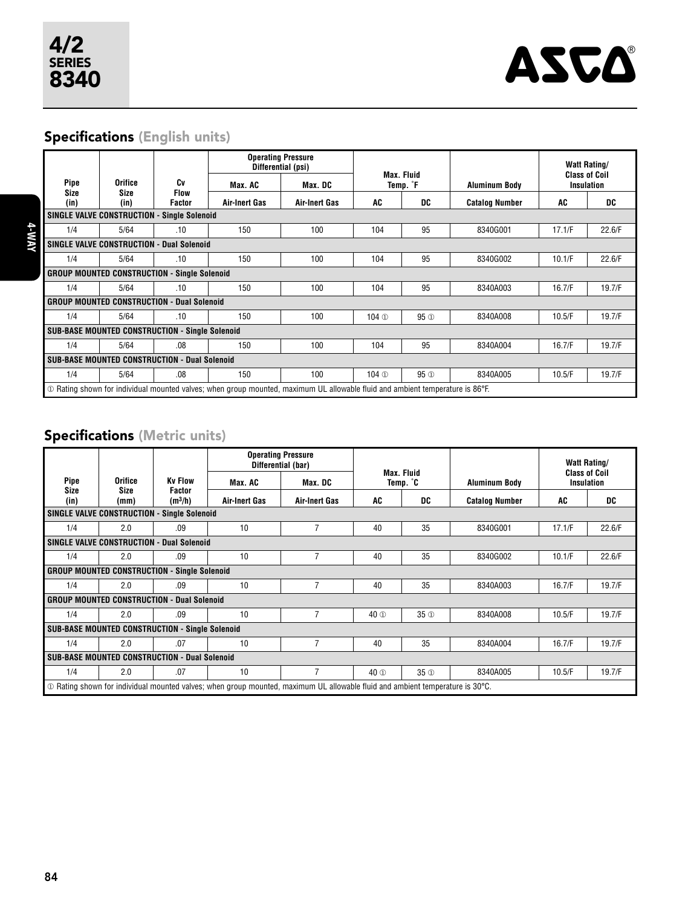

# Specifications (English units)

|                                                                                                                                               |                                                               |                       | <b>Operating Pressure</b> | Differential (psi)   | <b>Max. Fluid</b> |                 |                       | <b>Watt Rating/</b>                       |        |
|-----------------------------------------------------------------------------------------------------------------------------------------------|---------------------------------------------------------------|-----------------------|---------------------------|----------------------|-------------------|-----------------|-----------------------|-------------------------------------------|--------|
| Pipe                                                                                                                                          | Orifice                                                       |                       | Max. AC                   | Max. DC              | Temp. °F          |                 | <b>Aluminum Body</b>  | <b>Class of Coil</b><br><b>Insulation</b> |        |
| Size<br>(in)                                                                                                                                  | Size<br>(in)                                                  | <b>Flow</b><br>Factor | Air-Inert Gas             | <b>Air-Inert Gas</b> | AC                | DC              | <b>Catalog Number</b> | AC                                        | DC     |
|                                                                                                                                               | <b>SINGLE VALVE CONSTRUCTION - Single Solenoid</b>            |                       |                           |                      |                   |                 |                       |                                           |        |
| 1/4                                                                                                                                           | 5/64                                                          | .10                   | 150                       | 100                  | 104               | 95              | 8340G001              | 17.1/F                                    | 22.6/F |
|                                                                                                                                               | <b>SINGLE VALVE CONSTRUCTION - Dual Solenoid</b>              |                       |                           |                      |                   |                 |                       |                                           |        |
| 1/4                                                                                                                                           | 5/64                                                          | .10                   | 150                       | 100                  | 104               | 95              | 8340G002              | 10.1/F                                    | 22.6/F |
|                                                                                                                                               | <b>Single Solenoid</b><br><b>GROUP MOUNTED CONSTRUCTION -</b> |                       |                           |                      |                   |                 |                       |                                           |        |
| 1/4                                                                                                                                           | 5/64                                                          | .10                   | 150                       | 100                  | 104               | 95              | 8340A003              | 16.7/F                                    | 19.7/F |
| <b>GROUP MOUNTED CONSTRUCTION - Dual Solenoid</b>                                                                                             |                                                               |                       |                           |                      |                   |                 |                       |                                           |        |
| 1/4                                                                                                                                           | 5/64                                                          | .10                   | 150                       | 100                  | 104 <sup>1</sup>  | 95 <sup>1</sup> | 8340A008              | 10.5/F                                    | 19.7/F |
| <b>SUB-BASE MOUNTED CONSTRUCTION - Single Solenoid</b>                                                                                        |                                                               |                       |                           |                      |                   |                 |                       |                                           |        |
| 1/4                                                                                                                                           | 5/64                                                          | .08                   | 150                       | 100                  | 104               | 95              | 8340A004              | 16.7/F                                    | 19.7/F |
| <b>SUB-BASE MOUNTED CONSTRUCTION - Dual Solenoid</b>                                                                                          |                                                               |                       |                           |                      |                   |                 |                       |                                           |        |
| 1/4                                                                                                                                           | 5/64                                                          | .08                   | 150                       | 100                  | 104 <sup>1</sup>  | 95 <sub>1</sub> | 8340A005              | 10.5/F                                    | 19.7/F |
| $\Phi$ Rating shown for individual mounted valves; when group mounted, maximum UL allowable fluid and ambient temperature is 86 $^{\circ}$ F. |                                                               |                       |                           |                      |                   |                 |                       |                                           |        |

# Specifications (Metric units)

|                                                                                                                                     |                                                   |                        | <b>Operating Pressure</b><br>Differential (bar) |                      |                               |                 |                       | <b>Watt Rating/</b>                       |        |
|-------------------------------------------------------------------------------------------------------------------------------------|---------------------------------------------------|------------------------|-------------------------------------------------|----------------------|-------------------------------|-----------------|-----------------------|-------------------------------------------|--------|
| Pipe                                                                                                                                | Orifice                                           |                        | Max. AC                                         | Max. DC              | <b>Max. Fluid</b><br>Temp. °C |                 | <b>Aluminum Body</b>  | <b>Class of Coil</b><br><b>Insulation</b> |        |
| <b>Size</b><br>(in)                                                                                                                 | Size<br>(mm)                                      | Factor<br>$(m^3/h)$    | Air-Inert Gas                                   | <b>Air-Inert Gas</b> | AC                            | DC              | <b>Catalog Number</b> | AC                                        | DC     |
| <b>SINGLE VALVE CONSTRUCTION</b>                                                                                                    |                                                   | <b>Single Solenoid</b> |                                                 |                      |                               |                 |                       |                                           |        |
| 1/4                                                                                                                                 | 2.0                                               | .09                    | 10                                              | 7                    | 40                            | 35              | 8340G001              | 17.1/F                                    | 22.6/F |
|                                                                                                                                     | SINGLE VALVE CONSTRUCTION - Dual Solenoid         |                        |                                                 |                      |                               |                 |                       |                                           |        |
| 1/4                                                                                                                                 | 2.0                                               | .09                    | 10                                              | 7                    | 40                            | 35              | 8340G002              | 10.1/F                                    | 22.6/F |
| <b>GROUP MOUNTED CONSTRUCTION - Single Solenoid</b>                                                                                 |                                                   |                        |                                                 |                      |                               |                 |                       |                                           |        |
| 1/4                                                                                                                                 | 2.0                                               | .09                    | 10                                              | $\overline{7}$       | 40                            | 35              | 8340A003              | 16.7/F                                    | 19.7/F |
|                                                                                                                                     | <b>GROUP MOUNTED CONSTRUCTION - Dual Solenoid</b> |                        |                                                 |                      |                               |                 |                       |                                           |        |
| 1/4                                                                                                                                 | 2.0                                               | .09                    | 10                                              | 7                    | 40 <sup>O</sup>               | 35 <sup>①</sup> | 8340A008              | 10.5/F                                    | 19.7/F |
| <b>SUB-BASE MOUNTED CONSTRUCTION - Single Solenoid</b>                                                                              |                                                   |                        |                                                 |                      |                               |                 |                       |                                           |        |
| 1/4                                                                                                                                 | 2.0                                               | .07                    | 10                                              | 7                    | 40                            | 35              | 8340A004              | 16.7/F                                    | 19.7/F |
| <b>SUB-BASE MOUNTED CONSTRUCTION - Dual Solenoid</b>                                                                                |                                                   |                        |                                                 |                      |                               |                 |                       |                                           |        |
| 1/4                                                                                                                                 | 2.0                                               | .07                    | 10                                              | $\overline{7}$       | 40 <sup>O</sup>               | 35 <sub>①</sub> | 8340A005              | 10.5/F                                    | 19.7/F |
| $\circ$ Rating shown for individual mounted valves; when group mounted, maximum UL allowable fluid and ambient temperature is 30°C. |                                                   |                        |                                                 |                      |                               |                 |                       |                                           |        |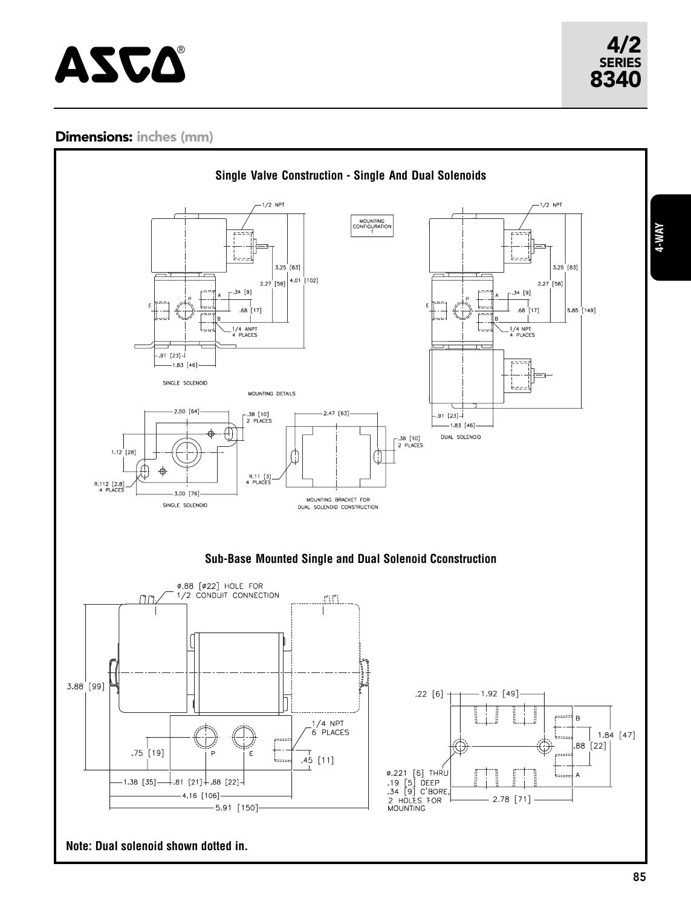# $\mathbf{ASCA}$  and  $\mathbf{ASCA}$

SERIES

# Dimensions: inches (mm)